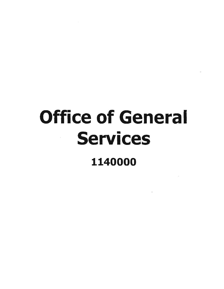# Office of General Services 1140000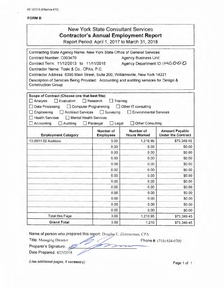AC 3272-S (Effective 4112)

#### FORM B

| <b>New York State Consultant Services</b>      |
|------------------------------------------------|
| <b>Contractor's Annual Employment Report</b>   |
| Bonart Bariad: April 1, 2017 to March 31, 2018 |

Report Period: April 1, 2017 to March 31 , 2018

Contracting State Agency Name: New York State Office of General Services Contract Number: C003470 Agency Business Unit: Contract Term: 11/12/2013 to 11/11/2018 Agency Department  $|D:1140.000$ Contractor Name: Toski & Co., CPAs, P.C. Contractor Address: 6390 Main Street, Suite 200, Williamsville, New York 14221 Description of Services Being Provided: Accounting and auditing services for Design & Construction Group Scope of Contract (Choose one that best fits): D Analysis D Evaluation D Research D Training □ Data Processing □ Computer Programming □ Other IT consulting 0 Engineering 0 Architect Services D Surveying D Environmental Services  $\Box$  Health Services  $\Box$  Mental Health Services D Accounting D Auditing D Paralegal D Legal D Other Consulting Number of Number of Amount Payable Employment Category Employees Hours Worked Under the Contract 13-2011 02 Auditors 1.210.95 **\$75.349.45**  $0.00$  0.00 \$0.00  $0.00$  ...  $0.00$  ...  $0.00$  ...  $0.00$  ...  $0.00$  ...  $0.00$  $0.00$   $0.00$  \$0.00  $0.00$  \$0.00 \$0.00 0.00 \$0.00 \$0.00 0.00 \$0.00 0.00 \$0.00 \$0.00 0.00 \$0.00 \$0.00  $0.00$  \$0.00 \$0.00  $0.00$   $0.00$  \$0.00  $0.00$   $0.00$  \$0.00 0.00 \$0.00 \$0.00 Total this Page 1,210.95 \$75,349.45 Grand Total 3,00 3,00 1,210 \$75,349.45

Name of person who prepared this report: Douglas E. Zimmerman, CPA

Title: Managing Director

Preparer's Signature:

Date Prepared: 4/25/2018

Phone #: (716) 634-0700

(Use additional pages, if necessary)

Page 1 of 1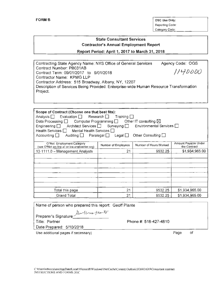FORM B CONSERVERSE CONSERVERSE OSCIDE ON A SECURE ONLY 2000 ON A SECURE ON A SECURE ON A SECURE ON A SECURE ONLY 2000 ONLY 2000 ONLY 2000 ONLY 2000 ONLY 2000 ONLY 2000 ONLY 2000 ONLY 2000 ONLY 2000 ONLY 2000 ONLY 2000 ONLY Reporting Code: Categorv Code:

## State Consultant Services Contractor's Annual Employment Report

#### Report Period: April 1, 2017 to March 31, 2018

| Contracting State Agency Name: NYS Office of General Services                         | Agency Code: OGS |  |  |  |
|---------------------------------------------------------------------------------------|------------------|--|--|--|
| Contract Number: PB031AB                                                              |                  |  |  |  |
| Contract Term: 09/01/2017 to 9/01/2018                                                | 1140000          |  |  |  |
| Contractor Name: KPMG LLP                                                             |                  |  |  |  |
| Contractor Address: 515 Broadway, Albany, NY, 12207                                   |                  |  |  |  |
| Description of Services Being Provided: Enterprise-wide Human Resource Transformation |                  |  |  |  |
| Project.                                                                              |                  |  |  |  |
|                                                                                       |                  |  |  |  |

| Scope of Contract (Choose one that best fits):<br>Analysis $\Box$ Evaluation $\Box$ Research $\Box$ Training $\Box$<br>Computer Programming $\Box$ Other IT consulting $\boxtimes$<br>Data Processing $\Box$<br>Engineering $\Box$ Architect Services $\Box$ Surveying $\Box$ Environmental Services $\Box$<br>Health Services     Mental Health Services    <br>Auditing $\Box$ Paralegal $\Box$<br>Other Consulting $\square$<br>Accounting $\Box$<br>Legal $\Box$ |                     |                        |                                      |  |
|----------------------------------------------------------------------------------------------------------------------------------------------------------------------------------------------------------------------------------------------------------------------------------------------------------------------------------------------------------------------------------------------------------------------------------------------------------------------|---------------------|------------------------|--------------------------------------|--|
| O*Net Employment Category<br>(see O*Net on-line at online.onetcenter.org)                                                                                                                                                                                                                                                                                                                                                                                            | Number of Employees | Number of Hours Worked | Amount Payable Under<br>the Contract |  |
| 13-1111.0 - Management Analysts                                                                                                                                                                                                                                                                                                                                                                                                                                      | 21                  | 9532.25                | \$1,934,965.00                       |  |
|                                                                                                                                                                                                                                                                                                                                                                                                                                                                      |                     |                        |                                      |  |
|                                                                                                                                                                                                                                                                                                                                                                                                                                                                      |                     |                        |                                      |  |
|                                                                                                                                                                                                                                                                                                                                                                                                                                                                      |                     |                        |                                      |  |
|                                                                                                                                                                                                                                                                                                                                                                                                                                                                      |                     |                        |                                      |  |
|                                                                                                                                                                                                                                                                                                                                                                                                                                                                      |                     |                        |                                      |  |
|                                                                                                                                                                                                                                                                                                                                                                                                                                                                      |                     |                        |                                      |  |
|                                                                                                                                                                                                                                                                                                                                                                                                                                                                      |                     |                        |                                      |  |
| Total this page                                                                                                                                                                                                                                                                                                                                                                                                                                                      | 21                  | 9532.25                | \$1,934,965.00                       |  |
| <b>Grand Total</b>                                                                                                                                                                                                                                                                                                                                                                                                                                                   | 21                  | 9532.25                | \$1,934,965.00                       |  |

Name of person who prepared this report: Geoff Plante

per 11 res peante Preparer's Signature

Title: Partner **Phone #: 518-427-4810** 

Date Prepared: 5/10/2018

Use additional pages if necessary) example of the example of the example of the example of the example of the example of the example of the example of the example of the example of the example of the example of the example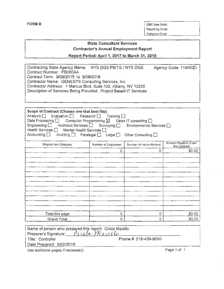FORM B OSC Use Only: Reporting Code: Category Code:

## State Consultant Services Contractor's Annual Employment Report

Report Period: April 1, 2017 to March 31, 2018

| Contracting State Agency Name: NYS OGS PBITS / NYS OGS            | Agency Code: 1140000 |
|-------------------------------------------------------------------|----------------------|
| Contract Number: PB060AA                                          |                      |
| Contract Term: 9/09/2015 to 9/08/2018                             |                      |
| Contractor Name: GENESYS Consulting Services, Inc.                |                      |
| Contractor Address: 1 Marcus Blvd, Suite 102, Albany, NY 12205    |                      |
| Description of Services Being Provided: Project Based IT Services |                      |
|                                                                   |                      |

| Scope of Contract (Choose one that best fits):<br>Analysis <b>be</b> Evaluation <b>be</b> Research <b>be</b> Training <b>be</b><br>Data Processing $\Box$ Computer Programming $\boxtimes$ Other IT consulting $\Box$<br>Engineering □ Architect Services □ Surveying □ Environmental Services □<br>Health Services   Mental Health Services  <br>Accounting <u>Dialand Auditing</u> Dialana Paralegal Dialand Legal Dial |                     | Other Consulting $\Box$ |                                      |
|---------------------------------------------------------------------------------------------------------------------------------------------------------------------------------------------------------------------------------------------------------------------------------------------------------------------------------------------------------------------------------------------------------------------------|---------------------|-------------------------|--------------------------------------|
| <b>Employment Category</b>                                                                                                                                                                                                                                                                                                                                                                                                | Number of Employees | Number of Hours Worked  | Amount Payable Under<br>the Contract |
|                                                                                                                                                                                                                                                                                                                                                                                                                           | 0                   | 0                       | \$0.00                               |
|                                                                                                                                                                                                                                                                                                                                                                                                                           |                     |                         |                                      |
|                                                                                                                                                                                                                                                                                                                                                                                                                           |                     |                         |                                      |
|                                                                                                                                                                                                                                                                                                                                                                                                                           |                     |                         |                                      |
|                                                                                                                                                                                                                                                                                                                                                                                                                           |                     |                         |                                      |
|                                                                                                                                                                                                                                                                                                                                                                                                                           |                     |                         |                                      |
| Total this page                                                                                                                                                                                                                                                                                                                                                                                                           | 0                   | 0                       | \$0.00                               |
| <b>Grand Total</b>                                                                                                                                                                                                                                                                                                                                                                                                        | Ω                   | O                       | \$0.00                               |

| Name of person who prepared this report: Crista Maiello                                                   |                       |
|-----------------------------------------------------------------------------------------------------------|-----------------------|
| Preparer's Signature: $\int \iota \iota \Delta t \cdot \gamma \eta_{\mu \mu \nu} \iota \iota \lambda \nu$ |                       |
| Title: Controller                                                                                         | Phone #: 518-459-9500 |
| Date Prepared: 5/02/2018                                                                                  |                       |
| Use additional pages if necessary)                                                                        | Page 1 of 1           |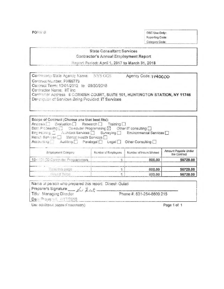FORM B

OSC Use Only: Reporting Code: Category Code:

#### **State Consultant Services** Contractor's Annual Employment Report

Report Period: April 1, 2017 to March 31, 2018

Contracting State Agency Name: Agency Code: 1140000 NYS OGS Contract Number, PH65773 Contract Term: 10/01/2012 to 09/30/2018 Contractor Name: IIT Inc. Contractor Address 6 CORNISH COURT, SUITE 101, HUNTINGTON STATION, NY 11746 Description of Services Being Provided: IT Services

| Scope of Contract (Choose one that best fits):<br>Analysis <sup>1</sup> Evaluation <sup>1</sup> Research <sup>1</sup> Training <sup>1</sup><br>Data Processing $\Box$ Computer Programming $\boxtimes$ Other IT consulting $\Box$<br>Engine and g _ All Acchitect Services [ ] Surveying [ ] Environmental Services [ ]<br>Health Services <sup>1</sup> Mental Health Services <sup>1</sup><br>Accounting Auditing <b>F</b> Paralegal egal cegal Other Consulting |                     |                        |                                      |
|-------------------------------------------------------------------------------------------------------------------------------------------------------------------------------------------------------------------------------------------------------------------------------------------------------------------------------------------------------------------------------------------------------------------------------------------------------------------|---------------------|------------------------|--------------------------------------|
| Entbibyment Category                                                                                                                                                                                                                                                                                                                                                                                                                                              | Number of Employees | Number of Hours Worked | Amount Payable Under<br>the Contract |
|                                                                                                                                                                                                                                                                                                                                                                                                                                                                   |                     |                        |                                      |
| 15-1131.00 Computer Programmers                                                                                                                                                                                                                                                                                                                                                                                                                                   |                     | 800,00                 | 56728.00                             |
| Total this page                                                                                                                                                                                                                                                                                                                                                                                                                                                   |                     | 800.00                 | 56728.00                             |

| Name of person who prepared this report: Dinesh Gulati |                           |
|--------------------------------------------------------|---------------------------|
| Preparer's Signature. _ du Incali-                     |                           |
| Title: Managing Director                               | Phone #: 631-254-8600 215 |
| Date Preparent, 4/17/2018                              |                           |

Use additional pages if necessary).

Page 1 of 1